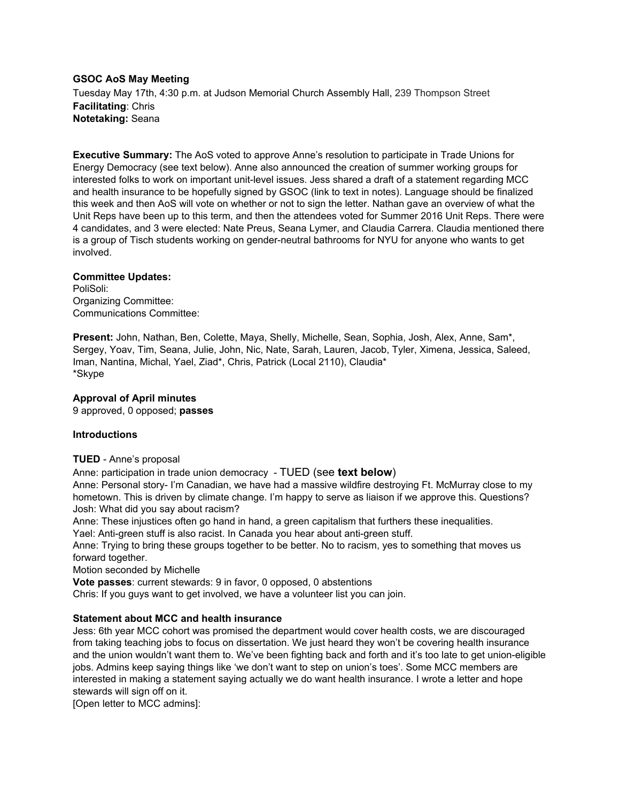## **GSOC AoS May Meeting**

Tuesday May 17th, 4:30 p.m. at Judson Memorial Church Assembly Hall, 239 Thompson Street **Facilitating**: Chris **Notetaking:**Seana

**Executive Summary:**The AoS voted to approve Anne's resolution to participate in Trade Unions for Energy Democracy (see text below). Anne also announced the creation of summer working groups for interested folks to work on important unit-level issues. Jess shared a draft of a statement regarding MCC and health insurance to be hopefully signed by GSOC (link to text in notes). Language should be finalized this week and then AoS will vote on whether or not to sign the letter. Nathan gave an overview of what the Unit Reps have been up to this term, and then the attendees voted for Summer 2016 Unit Reps. There were 4 candidates, and 3 were elected: Nate Preus, Seana Lymer, and Claudia Carrera. Claudia mentioned there is a group of Tisch students working on gender-neutral bathrooms for NYU for anyone who wants to get involved.

## **Committee Updates:**

PoliSoli: Organizing Committee: Communications Committee:

**Present:** John, Nathan, Ben, Colette, Maya, Shelly, Michelle, Sean, Sophia, Josh, Alex, Anne, Sam\*, Sergey, Yoav, Tim, Seana, Julie, John, Nic, Nate, Sarah, Lauren, Jacob, Tyler, Ximena, Jessica, Saleed, Iman, Nantina, Michal, Yael, Ziad\*, Chris, Patrick (Local 2110), Claudia\* \*Skype

## **Approval of April minutes**

9 approved, 0 opposed; **passes**

## **Introductions**

**TUED** - Anne's proposal

Anne: participation in trade union democracy TUED (see **text below**)

Anne: Personal story- I'm Canadian, we have had a massive wildfire destroying Ft. McMurray close to my hometown. This is driven by climate change. I'm happy to serve as liaison if we approve this. Questions? Josh: What did you say about racism?

Anne: These injustices often go hand in hand, a green capitalism that furthers these inequalities.

Yael: Anti-green stuff is also racist. In Canada you hear about anti-green stuff.

Anne: Trying to bring these groups together to be better. No to racism, yes to something that moves us forward together.

Motion seconded by Michelle

**Vote passes**: current stewards: 9 in favor, 0 opposed, 0 abstentions

Chris: If you guys want to get involved, we have a volunteer list you can join.

## **Statement about MCC and health insurance**

Jess: 6th year MCC cohort was promised the department would cover health costs, we are discouraged from taking teaching jobs to focus on dissertation. We just heard they won't be covering health insurance and the union wouldn't want them to. We've been fighting back and forth and it's too late to get unioneligible jobs. Admins keep saying things like 'we don't want to step on union's toes'. Some MCC members are interested in making a statement saying actually we do want health insurance. I wrote a letter and hope stewards will sign off on it.

[Open letter to MCC admins]: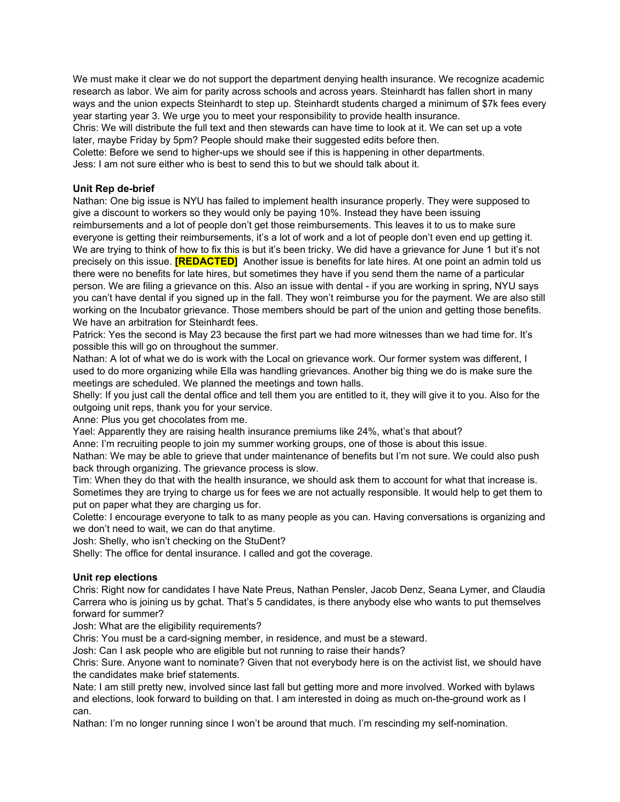We must make it clear we do not support the department denying health insurance. We recognize academic research as labor. We aim for parity across schools and across years. Steinhardt has fallen short in many ways and the union expects Steinhardt to step up. Steinhardt students charged a minimum of \$7k fees every year starting year 3. We urge you to meet your responsibility to provide health insurance. Chris: We will distribute the full text and then stewards can have time to look at it. We can set up a vote later, maybe Friday by 5pm? People should make their suggested edits before then. Colette: Before we send to higher-ups we should see if this is happening in other departments. Jess: I am not sure either who is best to send this to but we should talk about it.

## **Unit** Rep de-brief

Nathan: One big issue is NYU has failed to implement health insurance properly. They were supposed to give a discount to workers so they would only be paying 10%. Instead they have been issuing reimbursements and a lot of people don't get those reimbursements. This leaves it to us to make sure everyone is getting their reimbursements, it's a lot of work and a lot of people don't even end up getting it. We are trying to think of how to fix this is but it's been tricky. We did have a grievance for June 1 but it's not precisely on this issue. **[REDACTED]**Another issue is benefits for late hires. At one point an admin told us there were no benefits for late hires, but sometimes they have if you send them the name of a particular person. We are filing a grievance on this. Also an issue with dental - if you are working in spring, NYU says you can't have dental if you signed up in the fall. They won't reimburse you for the payment. We are also still working on the Incubator grievance. Those members should be part of the union and getting those benefits. We have an arbitration for Steinhardt fees.

Patrick: Yes the second is May 23 because the first part we had more witnesses than we had time for. It's possible this will go on throughout the summer.

Nathan: A lot of what we do is work with the Local on grievance work. Our former system was different, I used to do more organizing while Ella was handling grievances. Another big thing we do is make sure the meetings are scheduled. We planned the meetings and town halls.

Shelly: If you just call the dental office and tell them you are entitled to it, they will give it to you. Also for the outgoing unit reps, thank you for your service.

Anne: Plus you get chocolates from me.

Yael: Apparently they are raising health insurance premiums like 24%, what's that about?

Anne: I'm recruiting people to join my summer working groups, one of those is about this issue.

Nathan: We may be able to grieve that under maintenance of benefits but I'm not sure. We could also push back through organizing. The grievance process is slow.

Tim: When they do that with the health insurance, we should ask them to account for what that increase is. Sometimes they are trying to charge us for fees we are not actually responsible. It would help to get them to put on paper what they are charging us for.

Colette: I encourage everyone to talk to as many people as you can. Having conversations is organizing and we don't need to wait, we can do that anytime.

Josh: Shelly, who isn't checking on the StuDent?

Shelly: The office for dental insurance. I called and got the coverage.

# **Unit rep elections**

Chris: Right now for candidates I have Nate Preus, Nathan Pensler, Jacob Denz, Seana Lymer, and Claudia Carrera who is joining us by gchat. That's 5 candidates, is there anybody else who wants to put themselves forward for summer?

Josh: What are the eligibility requirements?

Chris: You must be a card-signing member, in residence, and must be a steward.

Josh: Can I ask people who are eligible but not running to raise their hands?

Chris: Sure. Anyone want to nominate? Given that not everybody here is on the activist list, we should have the candidates make brief statements.

Nate: I am still pretty new, involved since last fall but getting more and more involved. Worked with bylaws and elections, look forward to building on that. I am interested in doing as much on-the-ground work as I can.

Nathan: I'm no longer running since I won't be around that much. I'm rescinding my self-nomination.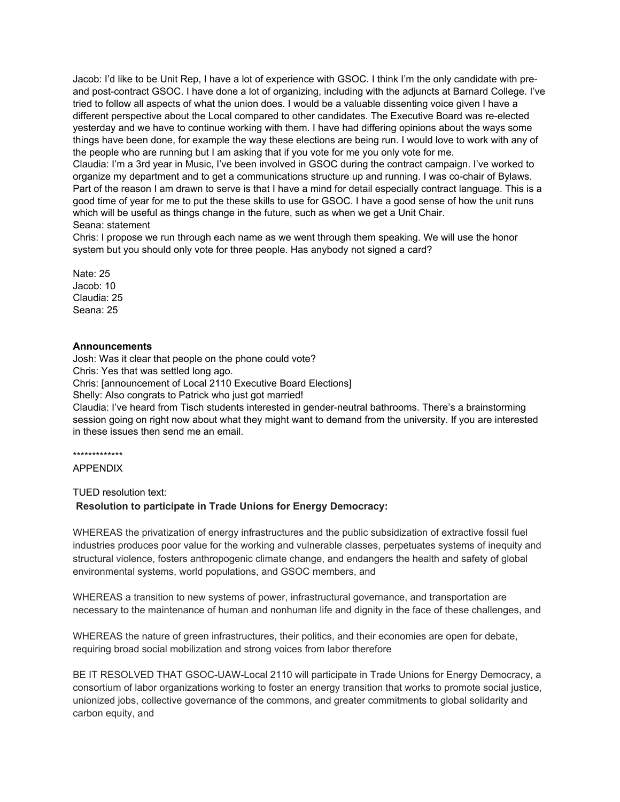Jacob: I'd like to be Unit Rep, I have a lot of experience with GSOC. I think I'm the only candidate with preand post-contract GSOC. I have done a lot of organizing, including with the adjuncts at Barnard College. I've tried to follow all aspects of what the union does. I would be a valuable dissenting voice given I have a different perspective about the Local compared to other candidates. The Executive Board was re-elected yesterday and we have to continue working with them. I have had differing opinions about the ways some things have been done, for example the way these elections are being run. I would love to work with any of the people who are running but I am asking that if you vote for me you only vote for me.

Claudia: I'm a 3rd year in Music, I've been involved in GSOC during the contract campaign. I've worked to organize my department and to get a communications structure up and running. I was co-chair of Bylaws. Part of the reason I am drawn to serve is that I have a mind for detail especially contract language. This is a good time of year for me to put the these skills to use for GSOC. I have a good sense of how the unit runs which will be useful as things change in the future, such as when we get a Unit Chair. Seana: statement

Chris: I propose we run through each name as we went through them speaking. We will use the honor system but you should only vote for three people. Has anybody not signed a card?

Nate: 25 Jacob: 10 Claudia: 25 Seana: 25

## **Announcements**

Josh: Was it clear that people on the phone could vote? Chris: Yes that was settled long ago. Chris: [announcement of Local 2110 Executive Board Elections] Shelly: Also congrats to Patrick who just got married! Claudia: I've heard from Tisch students interested in gender-neutral bathrooms. There's a brainstorming

session going on right now about what they might want to demand from the university. If you are interested in these issues then send me an email.

#### \*\*\*\*\*\*\*\*\*\*\*\*\*

APPENDIX

TUED resolution text:

## **Resolution to participate in Trade Unions for Energy Democracy:**

WHEREAS the privatization of energy infrastructures and the public subsidization of extractive fossil fuel industries produces poor value for the working and vulnerable classes, perpetuates systems of inequity and structural violence, fosters anthropogenic climate change, and endangers the health and safety of global environmental systems, world populations, and GSOC members, and

WHEREAS a transition to new systems of power, infrastructural governance, and transportation are necessary to the maintenance of human and nonhuman life and dignity in the face of these challenges, and

WHEREAS the nature of green infrastructures, their politics, and their economies are open for debate, requiring broad social mobilization and strong voices from labor therefore

BE IT RESOLVED THAT GSOC-UAW-Local 2110 will participate in Trade Unions for Energy Democracy, a consortium of labor organizations working to foster an energy transition that works to promote social justice, unionized jobs, collective governance of the commons, and greater commitments to global solidarity and carbon equity, and